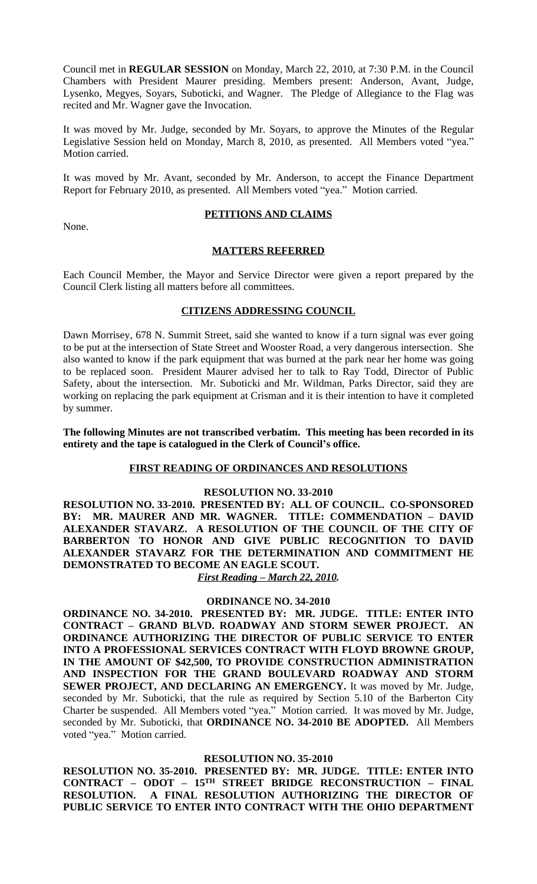Council met in **REGULAR SESSION** on Monday, March 22, 2010, at 7:30 P.M. in the Council Chambers with President Maurer presiding. Members present: Anderson, Avant, Judge, Lysenko, Megyes, Soyars, Suboticki, and Wagner. The Pledge of Allegiance to the Flag was recited and Mr. Wagner gave the Invocation.

It was moved by Mr. Judge, seconded by Mr. Soyars, to approve the Minutes of the Regular Legislative Session held on Monday, March 8, 2010, as presented. All Members voted "yea." Motion carried.

It was moved by Mr. Avant, seconded by Mr. Anderson, to accept the Finance Department Report for February 2010, as presented. All Members voted "yea." Motion carried.

None.

## **PETITIONS AND CLAIMS**

## **MATTERS REFERRED**

Each Council Member, the Mayor and Service Director were given a report prepared by the Council Clerk listing all matters before all committees.

# **CITIZENS ADDRESSING COUNCIL**

Dawn Morrisey, 678 N. Summit Street, said she wanted to know if a turn signal was ever going to be put at the intersection of State Street and Wooster Road, a very dangerous intersection. She also wanted to know if the park equipment that was burned at the park near her home was going to be replaced soon. President Maurer advised her to talk to Ray Todd, Director of Public Safety, about the intersection. Mr. Suboticki and Mr. Wildman, Parks Director, said they are working on replacing the park equipment at Crisman and it is their intention to have it completed by summer.

**The following Minutes are not transcribed verbatim. This meeting has been recorded in its entirety and the tape is catalogued in the Clerk of Council's office.**

## **FIRST READING OF ORDINANCES AND RESOLUTIONS**

## **RESOLUTION NO. 33-2010**

**RESOLUTION NO. 33-2010. PRESENTED BY: ALL OF COUNCIL. CO-SPONSORED BY: MR. MAURER AND MR. WAGNER. TITLE: COMMENDATION – DAVID ALEXANDER STAVARZ. A RESOLUTION OF THE COUNCIL OF THE CITY OF BARBERTON TO HONOR AND GIVE PUBLIC RECOGNITION TO DAVID ALEXANDER STAVARZ FOR THE DETERMINATION AND COMMITMENT HE DEMONSTRATED TO BECOME AN EAGLE SCOUT.** 

*First Reading – March 22, 2010.*

## **ORDINANCE NO. 34-2010**

**ORDINANCE NO. 34-2010. PRESENTED BY: MR. JUDGE. TITLE: ENTER INTO CONTRACT – GRAND BLVD. ROADWAY AND STORM SEWER PROJECT. AN ORDINANCE AUTHORIZING THE DIRECTOR OF PUBLIC SERVICE TO ENTER INTO A PROFESSIONAL SERVICES CONTRACT WITH FLOYD BROWNE GROUP, IN THE AMOUNT OF \$42,500, TO PROVIDE CONSTRUCTION ADMINISTRATION AND INSPECTION FOR THE GRAND BOULEVARD ROADWAY AND STORM SEWER PROJECT, AND DECLARING AN EMERGENCY.** It was moved by Mr. Judge, seconded by Mr. Suboticki, that the rule as required by Section 5.10 of the Barberton City Charter be suspended. All Members voted "yea." Motion carried. It was moved by Mr. Judge, seconded by Mr. Suboticki, that **ORDINANCE NO. 34-2010 BE ADOPTED.** All Members voted "yea." Motion carried.

## **RESOLUTION NO. 35-2010**

**RESOLUTION NO. 35-2010. PRESENTED BY: MR. JUDGE. TITLE: ENTER INTO CONTRACT – ODOT – 15TH STREET BRIDGE RECONSTRUCTION – FINAL RESOLUTION. A FINAL RESOLUTION AUTHORIZING THE DIRECTOR OF PUBLIC SERVICE TO ENTER INTO CONTRACT WITH THE OHIO DEPARTMENT**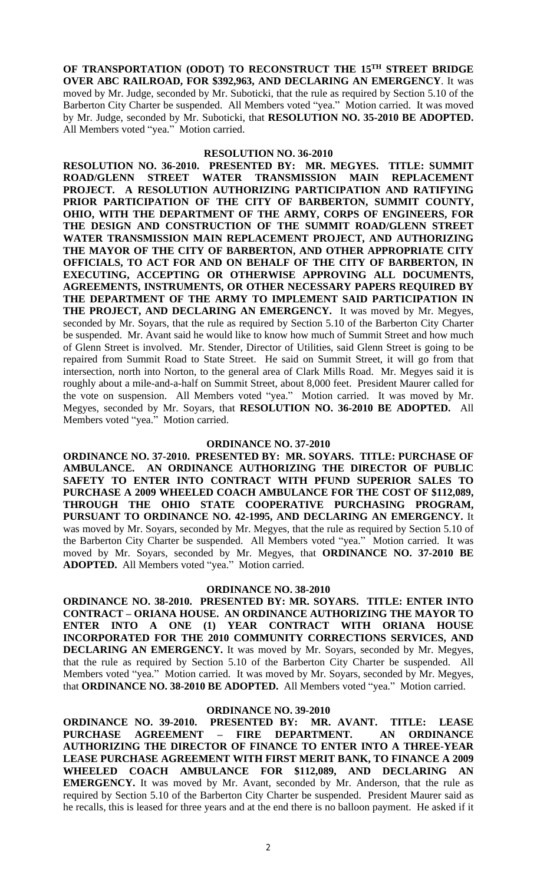**OF TRANSPORTATION (ODOT) TO RECONSTRUCT THE 15TH STREET BRIDGE OVER ABC RAILROAD, FOR \$392,963, AND DECLARING AN EMERGENCY**. It was moved by Mr. Judge, seconded by Mr. Suboticki, that the rule as required by Section 5.10 of the Barberton City Charter be suspended. All Members voted "yea." Motion carried. It was moved by Mr. Judge, seconded by Mr. Suboticki, that **RESOLUTION NO. 35-2010 BE ADOPTED.** All Members voted "yea." Motion carried.

### **RESOLUTION NO. 36-2010**

**RESOLUTION NO. 36-2010. PRESENTED BY: MR. MEGYES. TITLE: SUMMIT ROAD/GLENN STREET WATER TRANSMISSION MAIN PROJECT. A RESOLUTION AUTHORIZING PARTICIPATION AND RATIFYING PRIOR PARTICIPATION OF THE CITY OF BARBERTON, SUMMIT COUNTY, OHIO, WITH THE DEPARTMENT OF THE ARMY, CORPS OF ENGINEERS, FOR THE DESIGN AND CONSTRUCTION OF THE SUMMIT ROAD/GLENN STREET WATER TRANSMISSION MAIN REPLACEMENT PROJECT, AND AUTHORIZING THE MAYOR OF THE CITY OF BARBERTON, AND OTHER APPROPRIATE CITY OFFICIALS, TO ACT FOR AND ON BEHALF OF THE CITY OF BARBERTON, IN EXECUTING, ACCEPTING OR OTHERWISE APPROVING ALL DOCUMENTS, AGREEMENTS, INSTRUMENTS, OR OTHER NECESSARY PAPERS REQUIRED BY THE DEPARTMENT OF THE ARMY TO IMPLEMENT SAID PARTICIPATION IN THE PROJECT, AND DECLARING AN EMERGENCY.** It was moved by Mr. Megyes, seconded by Mr. Soyars, that the rule as required by Section 5.10 of the Barberton City Charter be suspended. Mr. Avant said he would like to know how much of Summit Street and how much of Glenn Street is involved. Mr. Stender, Director of Utilities, said Glenn Street is going to be repaired from Summit Road to State Street. He said on Summit Street, it will go from that intersection, north into Norton, to the general area of Clark Mills Road. Mr. Megyes said it is roughly about a mile-and-a-half on Summit Street, about 8,000 feet. President Maurer called for the vote on suspension. All Members voted "yea." Motion carried. It was moved by Mr. Megyes, seconded by Mr. Soyars, that **RESOLUTION NO. 36-2010 BE ADOPTED.** All Members voted "yea." Motion carried.

### **ORDINANCE NO. 37-2010**

**ORDINANCE NO. 37-2010. PRESENTED BY: MR. SOYARS. TITLE: PURCHASE OF AMBULANCE. AN ORDINANCE AUTHORIZING THE DIRECTOR OF PUBLIC SAFETY TO ENTER INTO CONTRACT WITH PFUND SUPERIOR SALES TO PURCHASE A 2009 WHEELED COACH AMBULANCE FOR THE COST OF \$112,089, THROUGH THE OHIO STATE COOPERATIVE PURCHASING PROGRAM, PURSUANT TO ORDINANCE NO. 42-1995, AND DECLARING AN EMERGENCY.** It was moved by Mr. Soyars, seconded by Mr. Megyes, that the rule as required by Section 5.10 of the Barberton City Charter be suspended. All Members voted "yea." Motion carried. It was moved by Mr. Soyars, seconded by Mr. Megyes, that **ORDINANCE NO. 37-2010 BE ADOPTED.** All Members voted "yea." Motion carried.

#### **ORDINANCE NO. 38-2010**

**ORDINANCE NO. 38-2010. PRESENTED BY: MR. SOYARS. TITLE: ENTER INTO CONTRACT – ORIANA HOUSE. AN ORDINANCE AUTHORIZING THE MAYOR TO ENTER INTO A ONE (1) YEAR CONTRACT WITH ORIANA HOUSE INCORPORATED FOR THE 2010 COMMUNITY CORRECTIONS SERVICES, AND DECLARING AN EMERGENCY.** It was moved by Mr. Soyars, seconded by Mr. Megyes, that the rule as required by Section 5.10 of the Barberton City Charter be suspended. All Members voted "yea." Motion carried. It was moved by Mr. Soyars, seconded by Mr. Megyes, that **ORDINANCE NO. 38-2010 BE ADOPTED.** All Members voted "yea." Motion carried.

### **ORDINANCE NO. 39-2010**

**ORDINANCE NO. 39-2010. PRESENTED BY: MR. AVANT. TITLE: LEASE PURCHASE AGREEMENT – FIRE DEPARTMENT. AN ORDINANCE AUTHORIZING THE DIRECTOR OF FINANCE TO ENTER INTO A THREE-YEAR LEASE PURCHASE AGREEMENT WITH FIRST MERIT BANK, TO FINANCE A 2009 WHEELED COACH AMBULANCE FOR \$112,089, AND DECLARING AN EMERGENCY.** It was moved by Mr. Avant, seconded by Mr. Anderson, that the rule as required by Section 5.10 of the Barberton City Charter be suspended. President Maurer said as he recalls, this is leased for three years and at the end there is no balloon payment. He asked if it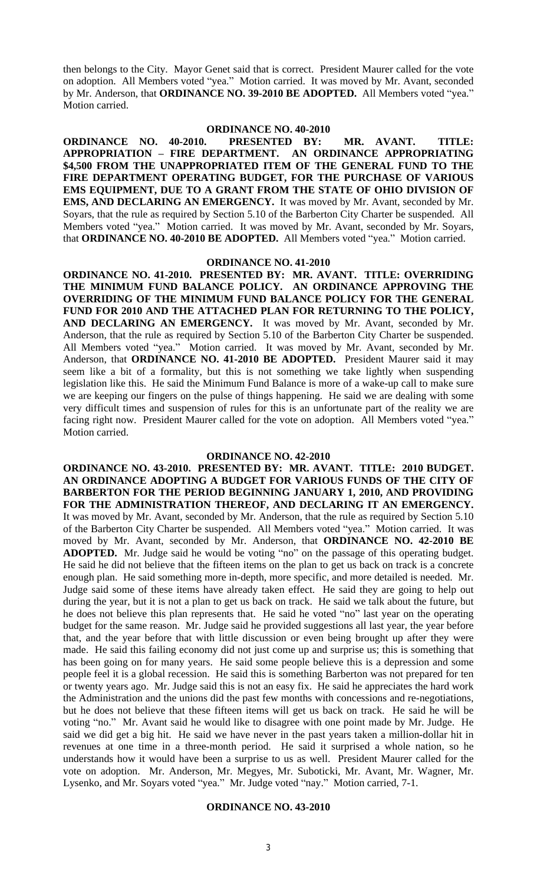then belongs to the City. Mayor Genet said that is correct. President Maurer called for the vote on adoption. All Members voted "yea." Motion carried. It was moved by Mr. Avant, seconded by Mr. Anderson, that **ORDINANCE NO. 39-2010 BE ADOPTED.** All Members voted "yea." Motion carried.

## **ORDINANCE NO. 40-2010**

**ORDINANCE NO. 40-2010. PRESENTED BY: MR. AVANT. TITLE: APPROPRIATION – FIRE DEPARTMENT. AN ORDINANCE APPROPRIATING \$4,500 FROM THE UNAPPROPRIATED ITEM OF THE GENERAL FUND TO THE FIRE DEPARTMENT OPERATING BUDGET, FOR THE PURCHASE OF VARIOUS EMS EQUIPMENT, DUE TO A GRANT FROM THE STATE OF OHIO DIVISION OF EMS, AND DECLARING AN EMERGENCY.** It was moved by Mr. Avant, seconded by Mr. Soyars, that the rule as required by Section 5.10 of the Barberton City Charter be suspended. All Members voted "yea." Motion carried. It was moved by Mr. Avant, seconded by Mr. Soyars, that **ORDINANCE NO. 40-2010 BE ADOPTED.** All Members voted "yea." Motion carried.

#### **ORDINANCE NO. 41-2010**

**ORDINANCE NO. 41-2010. PRESENTED BY: MR. AVANT. TITLE: OVERRIDING THE MINIMUM FUND BALANCE POLICY. AN ORDINANCE APPROVING THE OVERRIDING OF THE MINIMUM FUND BALANCE POLICY FOR THE GENERAL FUND FOR 2010 AND THE ATTACHED PLAN FOR RETURNING TO THE POLICY, AND DECLARING AN EMERGENCY.** It was moved by Mr. Avant, seconded by Mr. Anderson, that the rule as required by Section 5.10 of the Barberton City Charter be suspended. All Members voted "yea." Motion carried. It was moved by Mr. Avant, seconded by Mr. Anderson, that **ORDINANCE NO. 41-2010 BE ADOPTED.** President Maurer said it may seem like a bit of a formality, but this is not something we take lightly when suspending legislation like this. He said the Minimum Fund Balance is more of a wake-up call to make sure we are keeping our fingers on the pulse of things happening. He said we are dealing with some very difficult times and suspension of rules for this is an unfortunate part of the reality we are facing right now. President Maurer called for the vote on adoption. All Members voted "yea." Motion carried.

### **ORDINANCE NO. 42-2010**

**ORDINANCE NO. 43-2010. PRESENTED BY: MR. AVANT. TITLE: 2010 BUDGET. AN ORDINANCE ADOPTING A BUDGET FOR VARIOUS FUNDS OF THE CITY OF BARBERTON FOR THE PERIOD BEGINNING JANUARY 1, 2010, AND PROVIDING FOR THE ADMINISTRATION THEREOF, AND DECLARING IT AN EMERGENCY.** It was moved by Mr. Avant, seconded by Mr. Anderson, that the rule as required by Section 5.10 of the Barberton City Charter be suspended. All Members voted "yea." Motion carried. It was moved by Mr. Avant, seconded by Mr. Anderson, that **ORDINANCE NO. 42-2010 BE ADOPTED.** Mr. Judge said he would be voting "no" on the passage of this operating budget. He said he did not believe that the fifteen items on the plan to get us back on track is a concrete enough plan. He said something more in-depth, more specific, and more detailed is needed. Mr. Judge said some of these items have already taken effect. He said they are going to help out during the year, but it is not a plan to get us back on track. He said we talk about the future, but he does not believe this plan represents that. He said he voted "no" last year on the operating budget for the same reason. Mr. Judge said he provided suggestions all last year, the year before that, and the year before that with little discussion or even being brought up after they were made. He said this failing economy did not just come up and surprise us; this is something that has been going on for many years. He said some people believe this is a depression and some people feel it is a global recession. He said this is something Barberton was not prepared for ten or twenty years ago. Mr. Judge said this is not an easy fix. He said he appreciates the hard work the Administration and the unions did the past few months with concessions and re-negotiations, but he does not believe that these fifteen items will get us back on track. He said he will be voting "no." Mr. Avant said he would like to disagree with one point made by Mr. Judge. He said we did get a big hit. He said we have never in the past years taken a million-dollar hit in revenues at one time in a three-month period. He said it surprised a whole nation, so he understands how it would have been a surprise to us as well. President Maurer called for the vote on adoption. Mr. Anderson, Mr. Megyes, Mr. Suboticki, Mr. Avant, Mr. Wagner, Mr. Lysenko, and Mr. Soyars voted "yea." Mr. Judge voted "nay." Motion carried, 7-1.

#### **ORDINANCE NO. 43-2010**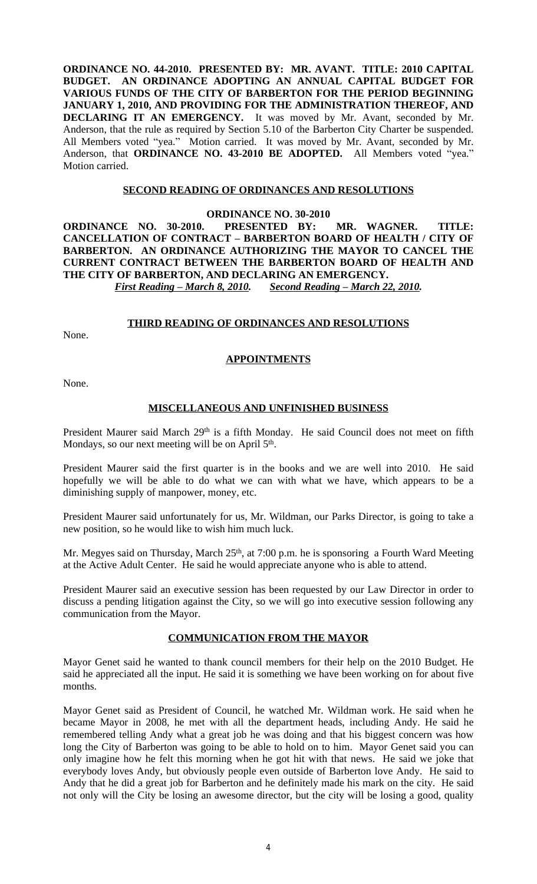**ORDINANCE NO. 44-2010. PRESENTED BY: MR. AVANT. TITLE: 2010 CAPITAL BUDGET. AN ORDINANCE ADOPTING AN ANNUAL CAPITAL BUDGET FOR VARIOUS FUNDS OF THE CITY OF BARBERTON FOR THE PERIOD BEGINNING JANUARY 1, 2010, AND PROVIDING FOR THE ADMINISTRATION THEREOF, AND DECLARING IT AN EMERGENCY.** It was moved by Mr. Avant, seconded by Mr. Anderson, that the rule as required by Section 5.10 of the Barberton City Charter be suspended. All Members voted "yea." Motion carried. It was moved by Mr. Avant, seconded by Mr. Anderson, that **ORDINANCE NO. 43-2010 BE ADOPTED.** All Members voted "yea." Motion carried.

## **SECOND READING OF ORDINANCES AND RESOLUTIONS**

### **ORDINANCE NO. 30-2010**

## **ORDINANCE NO. 30-2010. PRESENTED BY: MR. WAGNER. TITLE: CANCELLATION OF CONTRACT – BARBERTON BOARD OF HEALTH / CITY OF BARBERTON. AN ORDINANCE AUTHORIZING THE MAYOR TO CANCEL THE CURRENT CONTRACT BETWEEN THE BARBERTON BOARD OF HEALTH AND THE CITY OF BARBERTON, AND DECLARING AN EMERGENCY.** *First Reading – March 8, 2010. Second Reading – March 22, 2010.*

## **THIRD READING OF ORDINANCES AND RESOLUTIONS**

None.

## **APPOINTMENTS**

None.

## **MISCELLANEOUS AND UNFINISHED BUSINESS**

President Maurer said March 29<sup>th</sup> is a fifth Monday. He said Council does not meet on fifth Mondays, so our next meeting will be on April 5<sup>th</sup>.

President Maurer said the first quarter is in the books and we are well into 2010. He said hopefully we will be able to do what we can with what we have, which appears to be a diminishing supply of manpower, money, etc.

President Maurer said unfortunately for us, Mr. Wildman, our Parks Director, is going to take a new position, so he would like to wish him much luck.

Mr. Megyes said on Thursday, March 25<sup>th</sup>, at 7:00 p.m. he is sponsoring a Fourth Ward Meeting at the Active Adult Center. He said he would appreciate anyone who is able to attend.

President Maurer said an executive session has been requested by our Law Director in order to discuss a pending litigation against the City, so we will go into executive session following any communication from the Mayor.

## **COMMUNICATION FROM THE MAYOR**

Mayor Genet said he wanted to thank council members for their help on the 2010 Budget. He said he appreciated all the input. He said it is something we have been working on for about five months.

Mayor Genet said as President of Council, he watched Mr. Wildman work. He said when he became Mayor in 2008, he met with all the department heads, including Andy. He said he remembered telling Andy what a great job he was doing and that his biggest concern was how long the City of Barberton was going to be able to hold on to him. Mayor Genet said you can only imagine how he felt this morning when he got hit with that news. He said we joke that everybody loves Andy, but obviously people even outside of Barberton love Andy. He said to Andy that he did a great job for Barberton and he definitely made his mark on the city. He said not only will the City be losing an awesome director, but the city will be losing a good, quality